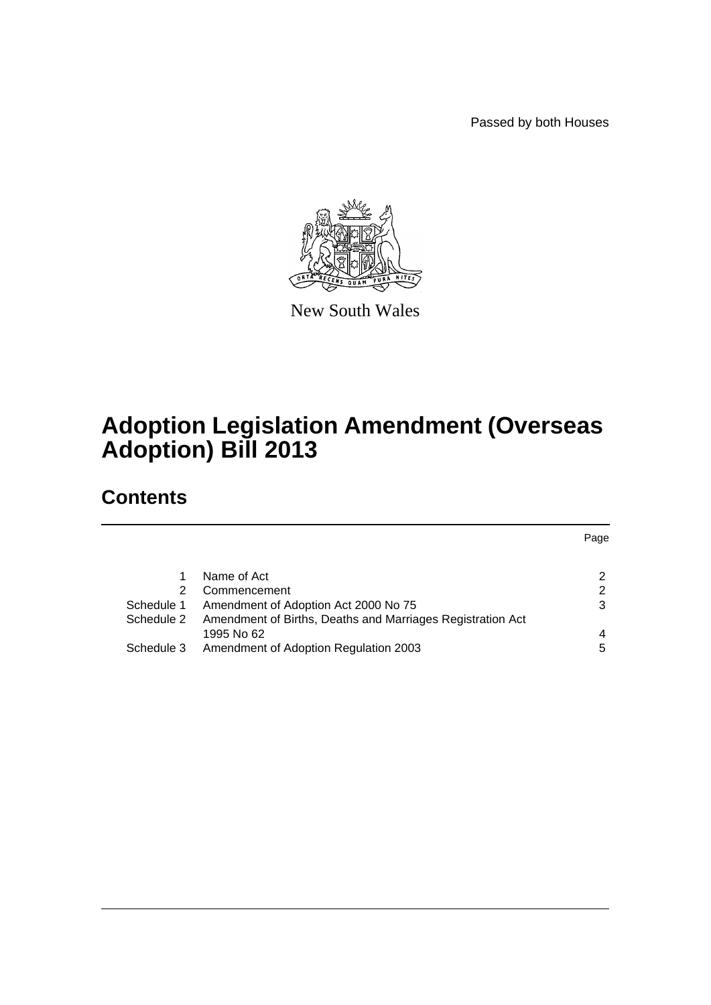Passed by both Houses



New South Wales

# **Adoption Legislation Amendment (Overseas Adoption) Bill 2013**

## **Contents**

|            |                                                            | Page |
|------------|------------------------------------------------------------|------|
|            |                                                            |      |
|            | Name of Act                                                | 2    |
| 2          | Commencement                                               | 2    |
| Schedule 1 | Amendment of Adoption Act 2000 No 75                       | 3    |
| Schedule 2 | Amendment of Births, Deaths and Marriages Registration Act |      |
|            | 1995 No 62                                                 | 4    |
| Schedule 3 | Amendment of Adoption Regulation 2003                      | 5    |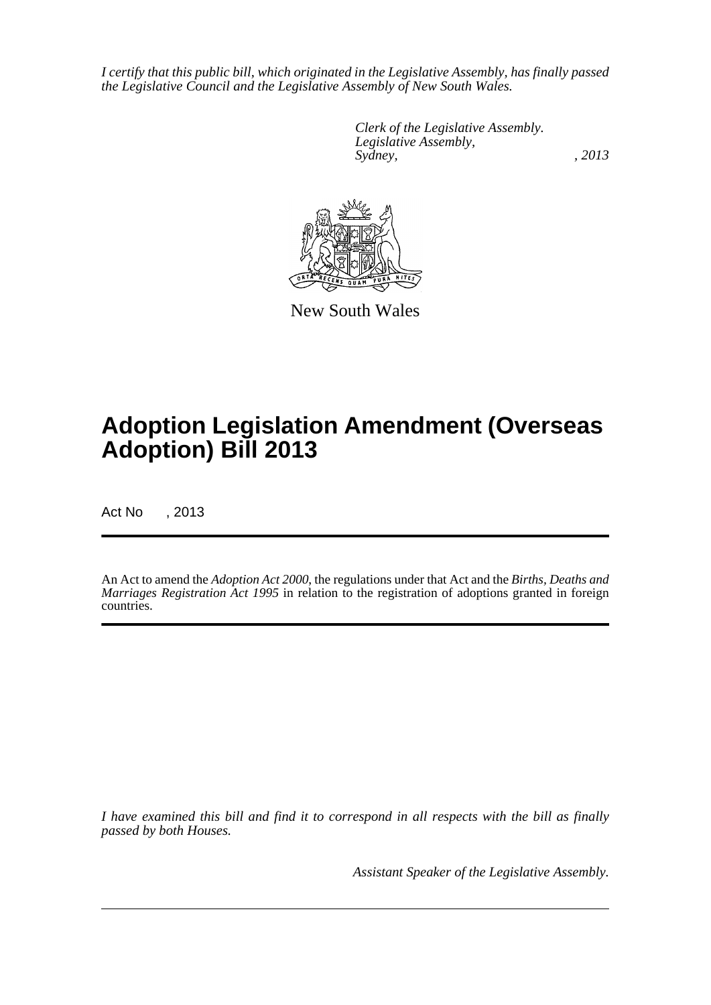*I certify that this public bill, which originated in the Legislative Assembly, has finally passed the Legislative Council and the Legislative Assembly of New South Wales.*

> *Clerk of the Legislative Assembly. Legislative Assembly, Sydney, , 2013*



New South Wales

# **Adoption Legislation Amendment (Overseas Adoption) Bill 2013**

Act No , 2013

An Act to amend the *Adoption Act 2000*, the regulations under that Act and the *Births, Deaths and Marriages Registration Act 1995* in relation to the registration of adoptions granted in foreign countries.

*I have examined this bill and find it to correspond in all respects with the bill as finally passed by both Houses.*

*Assistant Speaker of the Legislative Assembly.*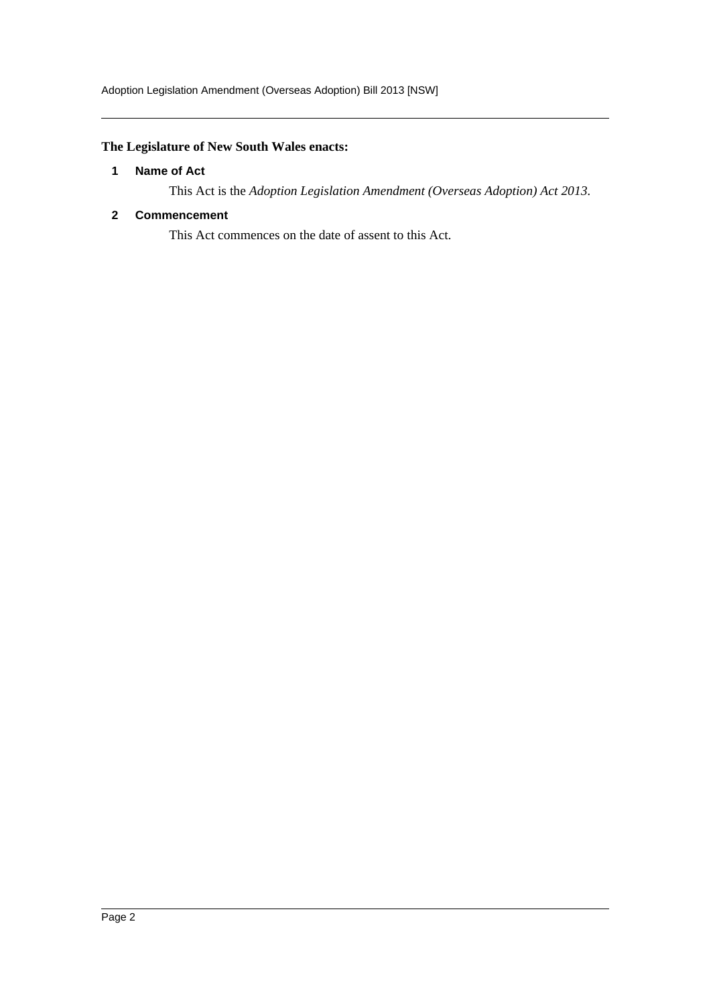### <span id="page-2-0"></span>**The Legislature of New South Wales enacts:**

#### **1 Name of Act**

This Act is the *Adoption Legislation Amendment (Overseas Adoption) Act 2013*.

#### <span id="page-2-1"></span>**2 Commencement**

This Act commences on the date of assent to this Act.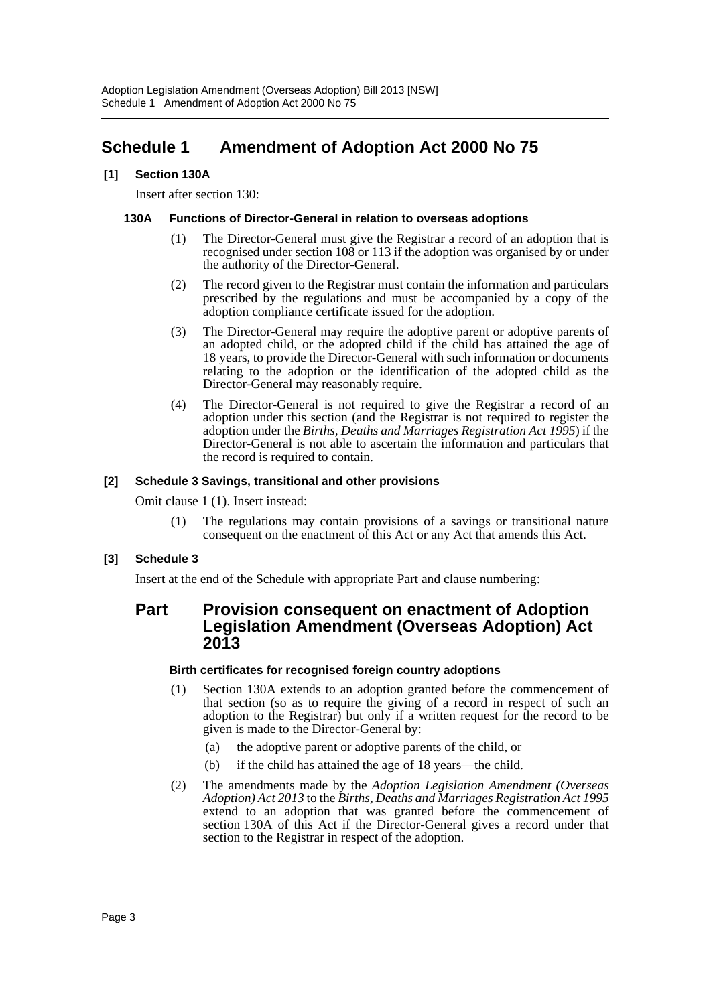## <span id="page-3-0"></span>**Schedule 1 Amendment of Adoption Act 2000 No 75**

#### **[1] Section 130A**

Insert after section 130:

#### **130A Functions of Director-General in relation to overseas adoptions**

- (1) The Director-General must give the Registrar a record of an adoption that is recognised under section 108 or 113 if the adoption was organised by or under the authority of the Director-General.
- (2) The record given to the Registrar must contain the information and particulars prescribed by the regulations and must be accompanied by a copy of the adoption compliance certificate issued for the adoption.
- (3) The Director-General may require the adoptive parent or adoptive parents of an adopted child, or the adopted child if the child has attained the age of 18 years, to provide the Director-General with such information or documents relating to the adoption or the identification of the adopted child as the Director-General may reasonably require.
- (4) The Director-General is not required to give the Registrar a record of an adoption under this section (and the Registrar is not required to register the adoption under the *Births, Deaths and Marriages Registration Act 1995*) if the Director-General is not able to ascertain the information and particulars that the record is required to contain.

#### **[2] Schedule 3 Savings, transitional and other provisions**

Omit clause 1 (1). Insert instead:

(1) The regulations may contain provisions of a savings or transitional nature consequent on the enactment of this Act or any Act that amends this Act.

#### **[3] Schedule 3**

Insert at the end of the Schedule with appropriate Part and clause numbering:

### **Part Provision consequent on enactment of Adoption Legislation Amendment (Overseas Adoption) Act 2013**

#### **Birth certificates for recognised foreign country adoptions**

- (1) Section 130A extends to an adoption granted before the commencement of that section (so as to require the giving of a record in respect of such an adoption to the Registrar) but only if a written request for the record to be given is made to the Director-General by:
	- (a) the adoptive parent or adoptive parents of the child, or
	- (b) if the child has attained the age of 18 years—the child.
- (2) The amendments made by the *Adoption Legislation Amendment (Overseas Adoption) Act 2013* to the *Births, Deaths and Marriages Registration Act 1995* extend to an adoption that was granted before the commencement of section 130A of this Act if the Director-General gives a record under that section to the Registrar in respect of the adoption.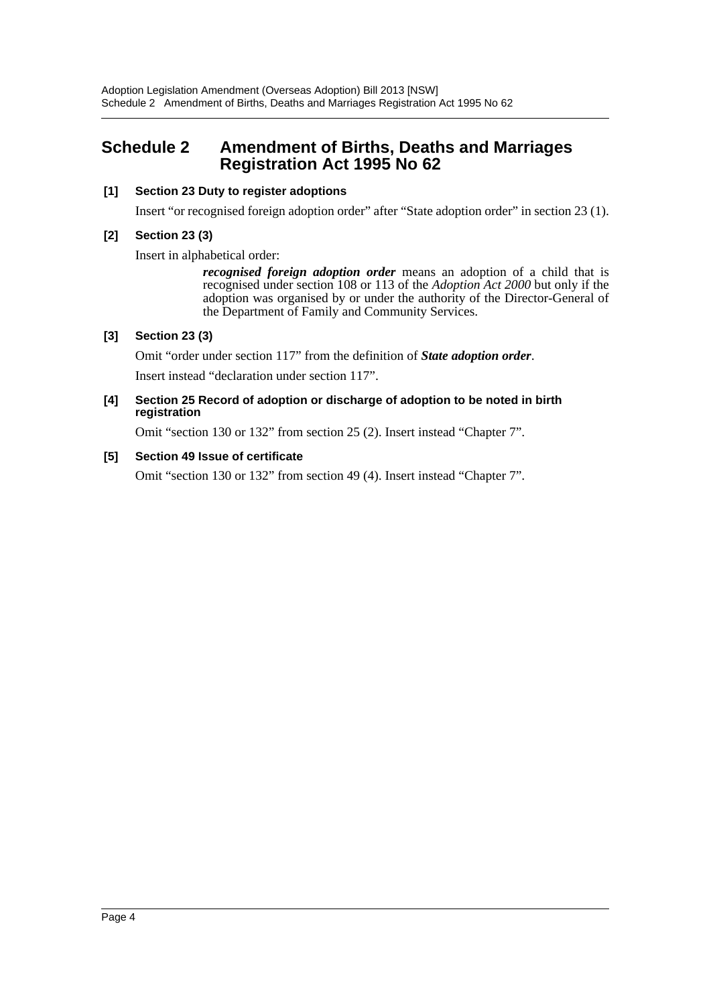### <span id="page-4-0"></span>**Schedule 2 Amendment of Births, Deaths and Marriages Registration Act 1995 No 62**

#### **[1] Section 23 Duty to register adoptions**

Insert "or recognised foreign adoption order" after "State adoption order" in section 23 (1).

#### **[2] Section 23 (3)**

Insert in alphabetical order:

*recognised foreign adoption order* means an adoption of a child that is recognised under section 108 or 113 of the *Adoption Act 2000* but only if the adoption was organised by or under the authority of the Director-General of the Department of Family and Community Services.

#### **[3] Section 23 (3)**

Omit "order under section 117" from the definition of *State adoption order*.

Insert instead "declaration under section 117".

#### **[4] Section 25 Record of adoption or discharge of adoption to be noted in birth registration**

Omit "section 130 or 132" from section 25 (2). Insert instead "Chapter 7".

#### **[5] Section 49 Issue of certificate**

Omit "section 130 or 132" from section 49 (4). Insert instead "Chapter 7".